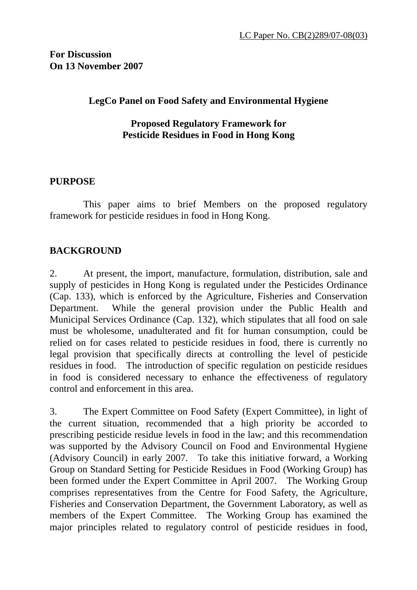**For Discussion On 13 November 2007** 

### **LegCo Panel on Food Safety and Environmental Hygiene**

### **Proposed Regulatory Framework for Pesticide Residues in Food in Hong Kong**

### **PURPOSE**

 This paper aims to brief Members on the proposed regulatory framework for pesticide residues in food in Hong Kong.

## **BACKGROUND**

2. At present, the import, manufacture, formulation, distribution, sale and supply of pesticides in Hong Kong is regulated under the Pesticides Ordinance (Cap. 133), which is enforced by the Agriculture, Fisheries and Conservation Department. While the general provision under the Public Health and Municipal Services Ordinance (Cap. 132), which stipulates that all food on sale must be wholesome, unadulterated and fit for human consumption, could be relied on for cases related to pesticide residues in food, there is currently no legal provision that specifically directs at controlling the level of pesticide residues in food. The introduction of specific regulation on pesticide residues in food is considered necessary to enhance the effectiveness of regulatory control and enforcement in this area.

3. The Expert Committee on Food Safety (Expert Committee), in light of the current situation, recommended that a high priority be accorded to prescribing pesticide residue levels in food in the law; and this recommendation was supported by the Advisory Council on Food and Environmental Hygiene (Advisory Council) in early 2007. To take this initiative forward, a Working Group on Standard Setting for Pesticide Residues in Food (Working Group) has been formed under the Expert Committee in April 2007. The Working Group comprises representatives from the Centre for Food Safety, the Agriculture, Fisheries and Conservation Department, the Government Laboratory, as well as members of the Expert Committee. The Working Group has examined the major principles related to regulatory control of pesticide residues in food,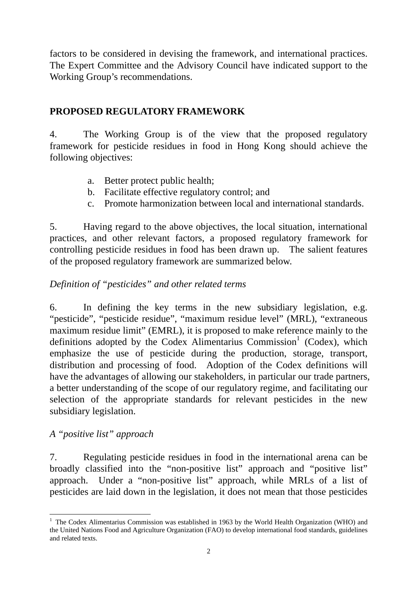factors to be considered in devising the framework, and international practices. The Expert Committee and the Advisory Council have indicated support to the Working Group's recommendations.

# **PROPOSED REGULATORY FRAMEWORK**

4. The Working Group is of the view that the proposed regulatory framework for pesticide residues in food in Hong Kong should achieve the following objectives:

- a. Better protect public health;
- b. Facilitate effective regulatory control; and
- c. Promote harmonization between local and international standards.

5. Having regard to the above objectives, the local situation, international practices, and other relevant factors, a proposed regulatory framework for controlling pesticide residues in food has been drawn up. The salient features of the proposed regulatory framework are summarized below.

# *Definition of "pesticides" and other related terms*

6. In defining the key terms in the new subsidiary legislation, e.g. "pesticide", "pesticide residue", "maximum residue level" (MRL), "extraneous maximum residue limit" (EMRL), it is proposed to make reference mainly to the definitions adopted by the Codex Alimentarius Commission<sup>1</sup> (Codex), which emphasize the use of pesticide during the production, storage, transport, distribution and processing of food. Adoption of the Codex definitions will have the advantages of allowing our stakeholders, in particular our trade partners, a better understanding of the scope of our regulatory regime, and facilitating our selection of the appropriate standards for relevant pesticides in the new subsidiary legislation.

# *A "positive list" approach*

7. Regulating pesticide residues in food in the international arena can be broadly classified into the "non-positive list" approach and "positive list" approach. Under a "non-positive list" approach, while MRLs of a list of pesticides are laid down in the legislation, it does not mean that those pesticides

<sup>&</sup>lt;sup>1</sup> The Codex Alimentarius Commission was established in 1963 by the World Health Organization (WHO) and the United Nations Food and Agriculture Organization (FAO) to develop international food standards, guidelines and related texts.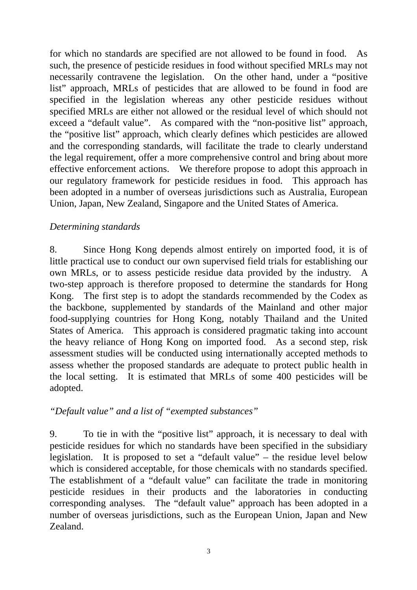for which no standards are specified are not allowed to be found in food. As such, the presence of pesticide residues in food without specified MRLs may not necessarily contravene the legislation. On the other hand, under a "positive list" approach, MRLs of pesticides that are allowed to be found in food are specified in the legislation whereas any other pesticide residues without specified MRLs are either not allowed or the residual level of which should not exceed a "default value". As compared with the "non-positive list" approach, the "positive list" approach, which clearly defines which pesticides are allowed and the corresponding standards, will facilitate the trade to clearly understand the legal requirement, offer a more comprehensive control and bring about more effective enforcement actions. We therefore propose to adopt this approach in our regulatory framework for pesticide residues in food. This approach has been adopted in a number of overseas jurisdictions such as Australia, European Union, Japan, New Zealand, Singapore and the United States of America.

## *Determining standards*

8. Since Hong Kong depends almost entirely on imported food, it is of little practical use to conduct our own supervised field trials for establishing our own MRLs, or to assess pesticide residue data provided by the industry. A two-step approach is therefore proposed to determine the standards for Hong Kong. The first step is to adopt the standards recommended by the Codex as the backbone, supplemented by standards of the Mainland and other major food-supplying countries for Hong Kong, notably Thailand and the United States of America. This approach is considered pragmatic taking into account the heavy reliance of Hong Kong on imported food. As a second step, risk assessment studies will be conducted using internationally accepted methods to assess whether the proposed standards are adequate to protect public health in the local setting. It is estimated that MRLs of some 400 pesticides will be adopted.

## *"Default value" and a list of "exempted substances"*

9. To tie in with the "positive list" approach, it is necessary to deal with pesticide residues for which no standards have been specified in the subsidiary legislation. It is proposed to set a "default value" – the residue level below which is considered acceptable, for those chemicals with no standards specified. The establishment of a "default value" can facilitate the trade in monitoring pesticide residues in their products and the laboratories in conducting corresponding analyses. The "default value" approach has been adopted in a number of overseas jurisdictions, such as the European Union, Japan and New Zealand.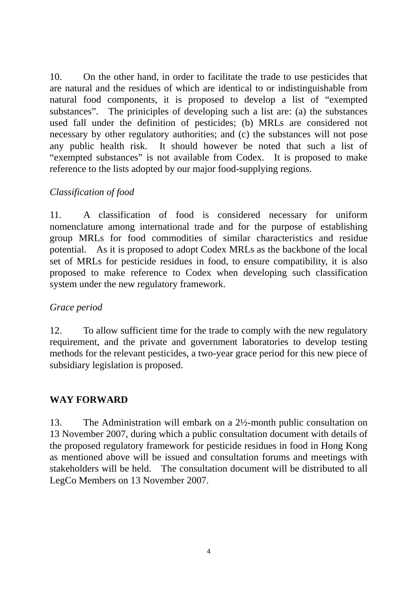10. On the other hand, in order to facilitate the trade to use pesticides that are natural and the residues of which are identical to or indistinguishable from natural food components, it is proposed to develop a list of "exempted substances". The priniciples of developing such a list are: (a) the substances used fall under the definition of pesticides; (b) MRLs are considered not necessary by other regulatory authorities; and (c) the substances will not pose any public health risk. It should however be noted that such a list of "exempted substances" is not available from Codex. It is proposed to make reference to the lists adopted by our major food-supplying regions.

## *Classification of food*

11. A classification of food is considered necessary for uniform nomenclature among international trade and for the purpose of establishing group MRLs for food commodities of similar characteristics and residue potential. As it is proposed to adopt Codex MRLs as the backbone of the local set of MRLs for pesticide residues in food, to ensure compatibility, it is also proposed to make reference to Codex when developing such classification system under the new regulatory framework.

### *Grace period*

12. To allow sufficient time for the trade to comply with the new regulatory requirement, and the private and government laboratories to develop testing methods for the relevant pesticides, a two-year grace period for this new piece of subsidiary legislation is proposed.

### **WAY FORWARD**

13. The Administration will embark on a 2½-month public consultation on 13 November 2007, during which a public consultation document with details of the proposed regulatory framework for pesticide residues in food in Hong Kong as mentioned above will be issued and consultation forums and meetings with stakeholders will be held. The consultation document will be distributed to all LegCo Members on 13 November 2007.